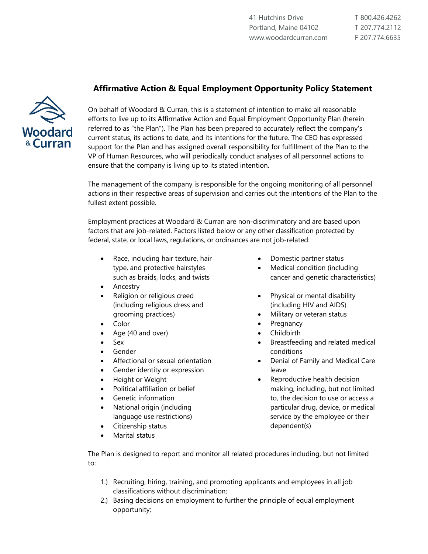## **Affirmative Action & Equal Employment Opportunity Policy Statement**



On behalf of Woodard & Curran, this is a statement of intention to make all reasonable efforts to live up to its Affirmative Action and Equal Employment Opportunity Plan (herein referred to as "the Plan"). The Plan has been prepared to accurately reflect the company's current status, its actions to date, and its intentions for the future. The CEO has expressed support for the Plan and has assigned overall responsibility for fulfillment of the Plan to the VP of Human Resources, who will periodically conduct analyses of all personnel actions to ensure that the company is living up to its stated intention.

The management of the company is responsible for the ongoing monitoring of all personnel actions in their respective areas of supervision and carries out the intentions of the Plan to the fullest extent possible.

Employment practices at Woodard & Curran are non-discriminatory and are based upon factors that are job-related. Factors listed below or any other classification protected by federal, state, or local laws, regulations, or ordinances are not job-related:

- Race, including hair texture, hair type, and protective hairstyles such as braids, locks, and twists
- Ancestry
- Religion or religious creed (including religious dress and grooming practices)
- Color
- Age (40 and over)
- Sex
- Gender
- Affectional or sexual orientation
- Gender identity or expression
- Height or Weight
- Political affiliation or belief
- Genetic information
- National origin (including language use restrictions)
- Citizenship status
- Marital status
- Domestic partner status
- Medical condition (including cancer and genetic characteristics)
- Physical or mental disability (including HIV and AIDS)
- Military or veteran status
- **Pregnancy**
- Childbirth
- Breastfeeding and related medical conditions
- Denial of Family and Medical Care leave
- Reproductive health decision making, including, but not limited to, the decision to use or access a particular drug, device, or medical service by the employee or their dependent(s)

The Plan is designed to report and monitor all related procedures including, but not limited to:

- 1.) Recruiting, hiring, training, and promoting applicants and employees in all job classifications without discrimination;
- 2.) Basing decisions on employment to further the principle of equal employment opportunity;